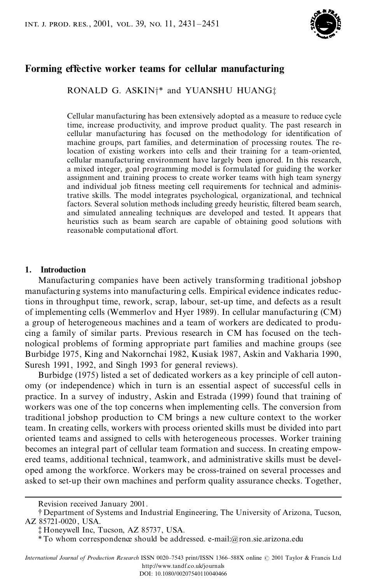

# **Forming effective** worker **teams** for **cellular manufacturing**

RONALD G. ASKIN<sup>+\*</sup> and YUANSHU HUANG<sup>+</sup>

Cellular manufacturing has been extensively adopted as a measure to reduce cycle time, increase productivity, and improve product quality. The past research in cellular manufacturing has focused on the methodology for identification of machine groups, part families, and determination of processing routes. The relocation of existing workers into cells and their training for a team-oriented, cellular manufacturing environment have largely been ignored. In this research, a mixed integer, goal programming model is formulated for guiding the worker assignment and training process to create worker teams with high team synergy and individual job fitness meeting cell requirements for technical and administrative skills. The model integrates psychological, organizational, and technical factors. Several solution methods including greedy heuristic, filtered beam search, and simulated annealing techniques are developed and tested. It appears that heuristics such as beam search are capable of obtaining good solutions with reasonable computational effort.

## **1. Introduction**

Manufacturing companies have been actively transforming traditional jobshop manufacturing systems into manufacturing cells. Empirical evidence indicates reductions in throughput time, rework, scrap, labour, set-up time, and defects as a result of implementing cells (Wemmerlov and Hyer 1989). In cellular manufacturing (CM) a group of heterogeneous machines and a team of workers are dedicated to produ cing a family of similar parts. Previous research in CM hasfocused on the tech nological problems of forming appropriate part families and machine groups (see Burbidge 1975, King and Nakornchai 1982, Kusiak 1987, Askin and Vakharia 1990, Suresh 1991, 1992, and Singh 1993 for general reviews).

Burbidge (1975) listed a set of dedicated workers as a key principle of cell auton omy (or independence) which in turn is an essential aspect of successful cells in practice. In a survey of industry, Askin and Estrada (1999) found that training of workers was one of the top concerns when implementing cells. The conversion from traditional jobshop production to CM brings a new culture context to the worker team. In creating cells, workers with process oriented skills must be divided into part oriented teams and assigned to cells with heterogeneous processes. Worker training becomes an integral part of cellular team formation and success. In creating empow ered teams, additional technical, teamwork, and administrative skills must be devel oped among the workforce. Workers may be cross-trained on several processes and asked to set-up their own machines and perform quality assurance checks. Together,

DOI: 10.1080/00207540110040466

Revision received January 2001.

<sup>{</sup> Department of Systems and Industrial Engineering, The University of Arizona, Tucson, AZ 85721-0020 , USA.

<sup>{</sup> Honeywell Inc, Tucson, AZ 85737, USA.

<sup>\*</sup> To whom correspondence should be addressed. e-mail:@ron.sie.arizona.edu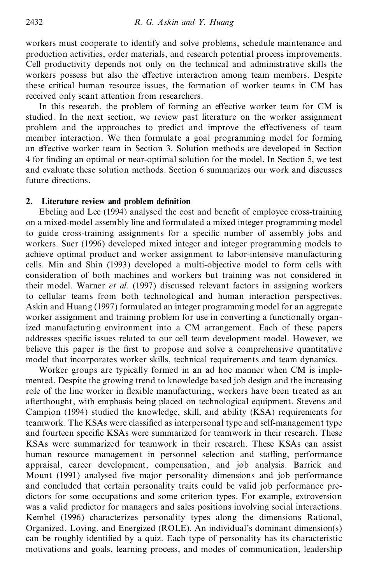workers must cooperate to identify and solve problems, schedule maintenance and production activities, order materials, and research potential process improvements. Cell productivity depends not only on the technical and administrative skills the workers possess but also the effective interaction among team members. Despite these critical human resource issues, the formation of worker teams in CM has received only scant attention from researchers.

In this research, the problem of forming an effective worker team for CM is studied. In the next section, we review past literature on the worker assignment problem and the approaches to predict and improve the effectiveness of team member interaction. We then formulate a goal programming model for forming an effective worker team in Section 3. Solution methods are developed in Section 4 for finding an optimal or near-optimal solution for the model. In Section 5, we test and evaluate these solution methods. Section 6 summarizes our work and discusses future directions.

## 2. Literature review and problem definition

Ebeling and Lee (1994) analysed the cost and benefit of employee cross-training on a mixed-model assembly line and formulated a mixed integer programming model to guide cross-training assignments for a specific number of assembly jobs and workers. Suer (1996) developed mixed integer and integer programming models to achieve optimal product and worker assignment to labor-intensive manufacturing cells. Min and Shin (1993) developed a multi-objective model to form cells with consideration of both machines and workers but training was not considered in their model. Warner *et al*. (1997) discussed relevant factors in assigning workers to cellular teams from both technological and human interaction perspectives. Askin and Huang (1997) formulated an integer programming model for an aggregate worker assignment and training problem for use in converting a functionally organized manufacturing environment into a CM arrangement. Each of these papers addresses specific issues related to our cell team development model. However, we believe this paper is the first to propose and solve a comprehensive quantitative model that incorporates worker skills, technical requirements and team dynamics.

Worker groups are typically formed in an ad hoc manner when CM is imple mented. Despite the growing trend to knowledge based job design and the increasing role of the line worker in flexible manufacturing, workers have been treated as an afterthought, with emphasis being placed on technological equipment. Stevens and Campion (1994) studied the knowledge, skill, and ability (KSA) requirements for teamwork. The KSAs were classified as interpersonal type and self-management type and fourteen specific KSAs were summarized for teamwork in their research. These KSAs were summarized for teamwork in their research. These KSAs can assist human resource management in personnel selection and staffing, performance appraisal, career development, compensation, and job analysis. Barrick and Mount (1991) analysed five major personality dimensions and job performance and concluded that certain personality traits could be valid job performance pre dictors for some occupations and some criterion types. For example, extroversion was a valid predictor for managers and sales positions involving social interactions. Kembel (1996) characterizes personality types along the dimensions Rational, Organized, Loving, and Energized (ROLE). An individual's dominant dimension(s) can be roughly identified by a quiz. Each type of personality has its characteristic motivations and goals, learning process, and modes of communication, leadership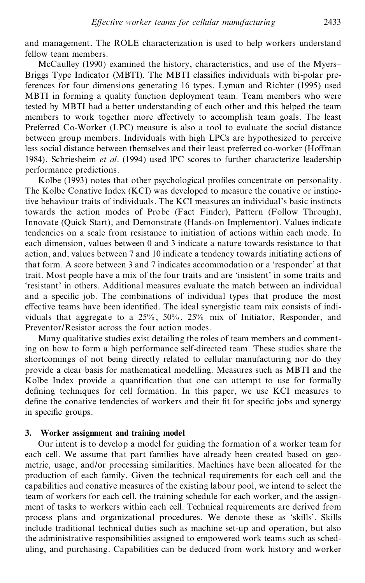and management. The ROLE characterization is used to help workers understand fellow team members.

McCaulley (1990) examined the history, characteristics, and use of the Myers-Briggs Type Indicator (MBTI). The MBTI classifies individuals with bi-polar preferences for four dimensions generating 16 types. Lyman and Richter (1995) used MBTI in forming a quality function deployment team. Team members who were tested by MBTI had a better understanding of each other and this helped the team members to work together more effectively to accomplish team goals. The least Preferred Co-Worker (LPC) measure is also a tool to evaluate the social distance between group members. Individuals with high LPCs are hypothesized to perceive less social distance between themselves and their least preferred co-worker (Hoffman 1984). Schriesheim *et al*. (1994) used lPC scores to further characterize leadership performance predictions.

Kolbe (1993) notes that other psychological profiles concentrate on personality. The Kolbe Conative Index (KCI) was developed to measure the conative or instinctive behaviour traits of individuals. The KCI measures an individual's basic instincts towards the action modes of Probe (Fact Finder), Pattern (Follow Through), Innovate (Quick Start), and Demonstrate (Hands-on Implementor). Values indicate tendencies on a scale from resistance to initiation of actions within each mode. In each dimension, values between 0 and 3 indicate a nature towards resistance to that action, and, values between 7 and 10 indicate a tendency towards initiating actions of that form. A score between 3 and 7 indicates accommodation or a `responder' at that trait. Most people have a mix of the four traits and are `insistent' in some traits and `resistant' in others. Additional measures evaluate the match between an individual and a specific job. The combinations of individual types that produce the most effective teams have been identified. The ideal synergistic team mix consists of individuals that aggregate to a 25% , 50% , 25% mix of Initiator, Responder, and Preventor/Resistor across the four action modes.

Many qualitative studies exist detailing the roles of team members and commenting on how to form a high performance self-directed team. These studies share the shortcomings of not being directly related to cellular manufacturing nor do they provide a clear basis for mathematical modelling. Measures such as MBTI and the Kolbe Index provide a quantification that one can attempt to use for formally defining techniques for cell formation. In this paper, we use KCI measures to define the conative tendencies of workers and their fit for specific jobs and synergy in specific groups.

## **3. Worker assignment and training model**

Our intent is to develop a model for guiding the formation of a worker team for each cell. We assume that part families have already been created based on geo metric, usage, and/or processing similarities. Machines have been allocated for the production of each family. Given the technical requirements for each cell and the capabilities and conative measures of the existing labour pool, we intend to select the team of workers for each cell, the training schedule for each worker, and the assign ment of tasks to workers within each cell. Technical requirements are derived from process plans and organizational procedures. We denote these as `skills'. Skills include traditional technical duties such as machine set-up and operation, but also the administrative responsibilities assigned to empowered work teams such as sched uling, and purchasing. Capabilities can be deduced from work history and worker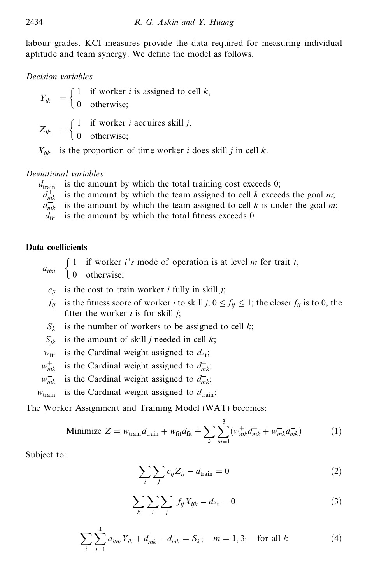labour grades. KCI measures provide the data required for measuring individual aptitude and team synergy. We define the model as follows.

# *Decision variables*

 $Y_{ik} = \begin{cases} 1 & \text{if worker } i \text{ is assigned to cell } k, \\ 0 & \text{otherwise} \end{cases}$ 0 otherwise;  $\int 1$  if  $\int 1$  if

 $Z_{ik} = \begin{cases} 1 & \text{if worker } i \text{ acquires skill } j, \\ 0 & \text{otherwise} \end{cases}$ 0 otherwise;

 $X_{ijk}$  is the proportion of time worker *i* does skill *j* in cell *k*.

# *Deviational variables*

 $d_{\text{train}}$  is the amount by which the total training cost exceeds 0;  $d_{mk}^+$  $d_{mk}^+$  is the amount by which the team assigned to cell *k* exceeds the goal *m*;<br> $d_{mk}^-$  is the amount by which the team assigned to cell *k* is under the goal *m* is the amount by which the team assigned to cell  $k$  is under the goal  $m$ ;  $d_{\text{fit}}$  is the amount by which the total fitness exceeds 0.

# **Data coefficients**

 $a_{\text{lim}}$   $\begin{cases} 1 & \text{if worker } i's \text{ mode of operation is at level } m \text{ for trait } t, \\ 0 & \text{otherwise.} \end{cases}$  $\int 1$  if

0 otherwise;

- $c_{ij}$  is the cost to train worker *i* fully in skill *j*;
- $f_{ij}$  is the fitness score of worker *i* to skill *j*;  $0 \le f_{ij} \le 1$ ; the closer  $f_{ij}$  is to 0, the fitter the worker  $i$  is for skill  $j$ ;
- $S_k$  is the number of workers to be assigned to cell *k*;
- $S_{ik}$  is the amount of skill *j* needed in cell *k*;
- $w_{\text{fit}}$  is the Cardinal weight assigned to  $d_{\text{fit}}$ ;
- $w_{mk}^{+}$  is the Cardinal weight assigned to  $d_{mk}^{+}$ ;
- $w_{mk}$  is the Cardinal weight assigned to  $d_{mk}$ ;
- $w_{\text{train}}$  is the Cardinal weight assigned to  $d_{\text{train}}$ ;

The Worker Assignment and Training Model (WAT) becomes:

Minimize 
$$
Z = w_{\text{train}} d_{\text{train}} + w_{\text{fit}} d_{\text{fit}} + \sum_{k} \sum_{m=1}^{3} (w_{mk}^{+} d_{mk}^{+} + w_{mk}^{-} d_{mk}^{-})
$$
 (1)

Subject to:

$$
\sum_{i} \sum_{j} c_{ij} Z_{ij} - d_{\text{train}} = 0 \tag{2}
$$

$$
\sum_{k} \sum_{i} \sum_{j} f_{ij} X_{ijk} - d_{\text{fit}} = 0 \tag{3}
$$

$$
\sum_{i} \sum_{t=1}^{4} a_{itm} Y_{ik} + d_{mk}^{+} - d_{mk}^{-} = S_k; \quad m = 1, 3; \quad \text{for all } k \tag{4}
$$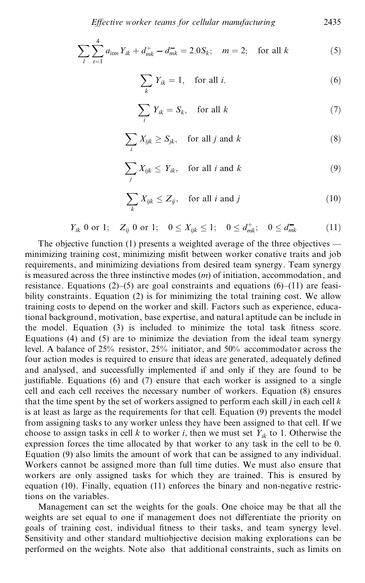$$
\sum_{l} \sum_{t=1}^{4} a_{itm} Y_{ik} + d_{mk}^{+} - d_{mk}^{-} = 2.0 S_k; \quad m = 2; \quad \text{for all } k \tag{5}
$$

$$
\sum_{k} Y_{ik} = 1, \quad \text{for all } i. \tag{6}
$$

$$
\sum_{i} Y_{ik} = S_k, \quad \text{for all } k \tag{7}
$$

$$
\sum_{i} X_{ijk} \ge S_{jk}, \quad \text{for all } j \text{ and } k \tag{8}
$$

$$
\sum_{j} X_{ijk} \leq Y_{ik}, \quad \text{for all } i \text{ and } k \tag{9}
$$

$$
\sum_{k} X_{ijk} \le Z_{ij}, \quad \text{for all } i \text{ and } j \tag{10}
$$

$$
Y_{ik} \t 0 \t or \t 1; \t Z_{ij} \t 0 \t or \t 1; \t 0 \leq X_{ijk} \leq 1; \t 0 \leq d_{mk}^+; \t 0 \leq d_{mk}^- \t (11)
$$

The objective function (1) presents a weighted average of the three objectives  $-\frac{1}{2}$ minimizing training cost, minimizing misfit between worker conative traits and job requirements, and minimizing deviations from desired team synergy. Team synergy is measured across the three instinctive modes (*m*) of initiation, accommodation, and resistance. Equations (2)–(5) are goal constraints and equations (6)–(11) are feasibility constraints. Equation (2) is for minimizing the total training cost. We allow training costs to depend on the worker and skill. Factors such as experience, educational background, motivation, base expertise, and natural aptitude can be include in the model. Equation (3) is included to minimize the total task fitness score. Equations (4) and (5) are to minimize the deviation from the ideal team synergy level. A balance of 25% resistor, 25% initiator, and 50% accommodator across the four action modes is required to ensure that ideas are generated, adequately defined and analysed, and successfully implemented if and only if they are found to be justifiable. Equations (6) and (7) ensure that each worker is assigned to a single cell and each cell receives the necessary number of workers. Equation (8) ensures that the time spent by the set of workers assigned to perform each skill *j* in each cell *k* is at least as large as the requirements for that cell. Equation (9) prevents the model from assigning tasks to any worker unless they have been assigned to that cell. If we choose to assign tasks in cell  $k$  to worker  $i$ , then we must set  $Y_{ik}$  to 1. Otherwise the expression forces the time allocated by that worker to any task in the cell to be 0. Equation (9) also limits the amount of work that can be assigned to any individual. Workers cannot be assigned more than full time duties. We must also ensure that workers are only assigned tasks for which they are trained. This is ensured by equation (10). Finally, equation (11) enforces the binary and non-negative restrictions on the variables.

Management can set the weights for the goals. One choice may be that all the weights are set equal to one if management does not differentiate the priority on goals of training cost, individual fitness to their tasks, and team synergy level. Sensitivity and other standard multiobjective decision making explorations can be performed on the weights. Note also that additional constraints, such as limits on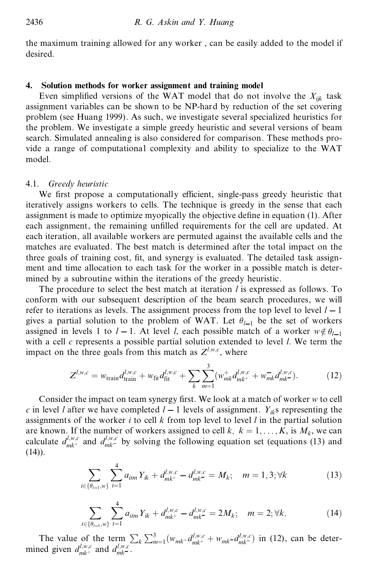the maximum training allowed for any worker , can be easily added to the model if desired.

## **4. Solution methods for worker assignment and training model**

Even simplified versions of the WAT model that do not involve the  $X_{ijk}$  task assignment variables can be shown to be NP-hard by reduction of the set covering problem (see Huang 1999). As such, we investigate several specialized heuristics for the problem. We investigate a simple greedy heuristic and several versions of beam search. Simulated annealing is also considered for comparison. These methods pro vide a range of computational complexity and ability to specialize to the WAT model.

### 4.1. *Greedy heuristic*

We first propose a computationally efficient, single-pass greedy heuristic that iteratively assigns workers to cells. The technique is greedy in the sense that each assignment is made to optimize myopically the objective define in equation (1). After each assignment, the remaining unfilled requirements for the cell are updated. At each iteration, all available workers are permuted against the available cells and the matches are evaluated. The best match is determined after the total impact on the three goals of training cost, fit, and synergy is evaluated. The detailed task assignment and time allocation to each task for the worker in a possible match is deter mined by a subroutine within the iterations of the greedy heuristic.

The procedure to select the best match at iteration *l* is expressed as follows. To conform with our subsequent description of the beam search procedures, we will refer to iterations as levels. The assignment process from the top level to level  $l - 1$ gives a partial solution to the problem of WAT. Let  $\theta_{l-1}$  be the set of workers assigned in levels 1 to  $l-1$ . At level *l*, each possible match of a worker  $w \notin \theta_{l-1}$ with a cell *c* represents a possible partial solution extended to level *l*. We term the impact on the three goals from this match as  $Z^{l,w,c}$ , where

$$
Z^{l,w,c} = w_{\text{train}} d_{\text{train}}^{l,w,c} + w_{\text{fit}} d_{\text{fit}}^{l,w,c} + \sum_{k} \sum_{m=1}^{3} (w_{mk}^{+} d_{mk}^{l,w,c} + w_{mk}^{-} d_{mk}^{l,w,c}). \tag{12}
$$

Consider the impact on team synergy first. We look at a match of worker *w* to cell *c* in level *l* after we have completed  $l-1$  levels of assignment.  $Y_{ik}$ s representing the assignments of the worker *i* to cell  $k$  from top level to level  $l$  in the partial solution are known. If the number of workers assigned to cell  $k, k = 1, ..., K$ , is  $M_k$ , we can calculate  $d_{mk}^{l,w,c}$  and  $d_{mk}^{l,w,c}$  by solving the following equation set (equations (13) and  $(14)$ ).

$$
\sum_{i \in \{\theta_{l-1}, w\}} \sum_{t=1}^{4} a_{itm} Y_{ik} + d_{mk^{+}}^{l, w, c} - d_{mk^{-}}^{l, w, c} = M_k; \quad m = 1, 3; \forall k
$$
 (13)

$$
\sum_{i \in \{\theta_{l-1}, w\}} \sum_{t=1}^4 a_{itm} Y_{ik} + d_{mk^+}^{l, w, c} - d_{mk^-}^{l, w, c} = 2M_k; \quad m = 2; \forall k. \tag{14}
$$

The value of the term  $\sum_k \sum_{m=1}^3 (w_{mk} + d_{mk}^{l,w,c} + w_{mk} - d_{mk}^{l,w,c})$  in (12), can be determined given  $d_{mk}^{l,w,c}$  and  $d_{mk}^{l,w,c}$ .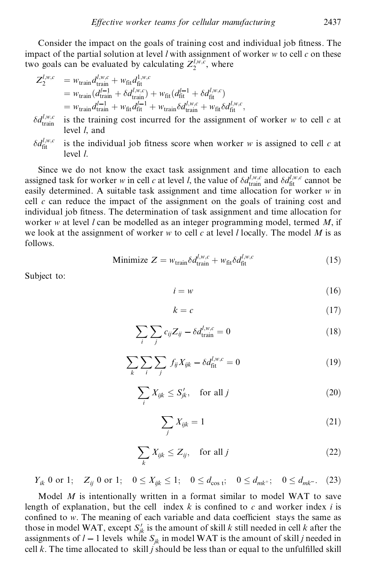Consider the impact on the goals of training cost and individual job fitness. The impact of the partial solution at level *l* with assignment of worker *w* to cell *c* on these two goals can be evaluated by calculating  $Z_2^{l,w,c}$ , where

$$
Z_2^{l,w,c} = w_{\text{train}} d_{\text{train}}^{l,w,c} + w_{\text{fit}} d_{\text{fit}}^{1,w,c}
$$
  
=  $w_{\text{train}} (d_{\text{train}}^{l-1} + \delta d_{\text{init}}^{l,w,c}) + w_{\text{fit}} (d_{\text{fit}}^{l-1} + \delta d_{\text{fit}}^{l,w,c})$   
=  $w_{\text{train}} d_{\text{train}}^{l-1} + w_{\text{fit}} d_{\text{fit}}^{l-1} + w_{\text{train}} \delta d_{\text{train}}^{l,w,c} + w_{\text{fit}} \delta d_{\text{fit}}^{l,w,c},$ 

 $\delta d_{\text{train}}^{l,w,c}$ is the training cost incurred for the assignment of worker  $w$  to cell  $c$  at level *l*, and

 $\delta d_{\rm fit}^{l,w,c}$ is the individual job fitness score when worker  $w$  is assigned to cell  $c$  at level *l*.

Since we do not know the exact task assignment and time allocation to each assigned task for worker *w* in cell *c* at level *l*, the value of  $\delta d_{\text{train}}^{l,w,c}$  and  $\delta d_{\text{fit}}^{l,w,c}$  cannot be easily determined. A suitable task assignment and time allocation for worker *w* in cell  $c$  can reduce the impact of the assignment on the goals of training cost and individual job fitness. The determination of task assignment and time allocation for worker *w* at level *l* can be modelled as an integer programming model, termed *M*, if we look at the assignment of worker *w* to cell *c* at level *l* locally. The model *M* is as follows.

$$
\text{Minimize } Z = w_{\text{train}} \delta d_{\text{train}}^{l, w, c} + w_{\text{fit}} \delta d_{\text{fit}}^{l, w, c} \tag{15}
$$

Subject to:

$$
i = w \tag{16}
$$

$$
k = c \tag{17}
$$

$$
\sum_{i} \sum_{j} c_{ij} Z_{ij} - \delta d_{\text{train}}^{l,w,c} = 0 \tag{18}
$$

$$
\sum_{k} \sum_{i} \sum_{j} f_{ij} X_{ijk} - \delta d_{\text{fit}}^{l,w,c} = 0 \tag{19}
$$

$$
\sum_{i} X_{ijk} \le S'_{jk}, \quad \text{for all } j \tag{20}
$$

$$
\sum_{j} X_{ijk} = 1 \tag{21}
$$

$$
\sum_{k} X_{ijk} \le Z_{ij}, \quad \text{for all } j \tag{22}
$$

*Y*<sub>ik</sub> 0 or 1; *Z*<sub>ij</sub> 0 or 1;  $0 \le X_{ijk} \le 1$ ;  $0 \le d_{\cos 1}$ ;  $0 \le d_{mk}$ ;  $0 \le d_{mk}$ . (23)

Model *M* is intentionally written in a format similar to model WAT to save length of explanation, but the cell index  $k$  is confined to  $c$  and worker index  $i$  is confined to *w*. The meaning of each variable and data coefficient stays the same as those in model WAT, except  $S'_{jk}$  is the amount of skill *k* still needed in cell *k* after the assignments of  $l - 1$  levels while  $S_{jk}$  in model WAT is the amount of skill *j* needed in cell  $k$ . The time allocated to skill  $j$  should be less than or equal to the unfulfilled skill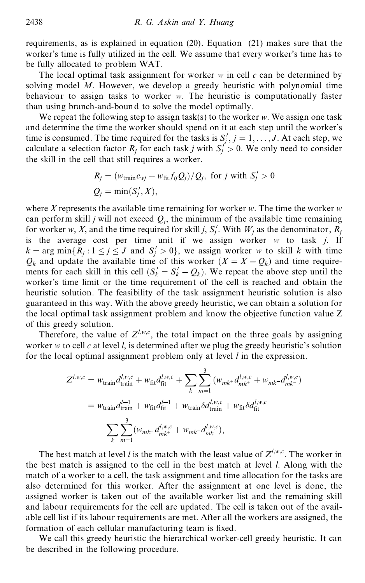requirements, as is explained in equation (20). Equation (21) makes sure that the worker's time is fully utilized in the cell. We assume that every worker's time has to be fully allocated to problem WAT.

The local optimal task assignment for worker *w* in cell *c* can be determined by solving model *M*. However, we develop a greedy heuristic with polynomial time behaviour to assign tasks to worker *w*. The heuristic is computationally faster than using branch-and-bound to solve the model optimally.

We repeat the following step to assign task(s) to the worker *w*. We assign one task and determine the time the worker should spend on it at each step until the worker's time is consumed. The time required for the tasks is  $S'_j$ ,  $j = 1, \ldots, J$ . At each step, we calculate a selection factor  $R_j$  for each task *j* with  $S'_j > 0$ . We only need to consider the skill in the cell that still requires a worker.

$$
R_j = (w_{\text{train}}c_{wj} + w_{\text{fit}}f_{ij}Q_j)/Q_j, \text{ for } j \text{ with } S'_j > 0
$$
  

$$
Q_j = \min(S'_j, X),
$$

where *X* represents the available time remaining for worker *w*. The time the worker *w* can perform skill *j* will not exceed  $Q_i$ , the minimum of the available time remaining for worker *w*, *X*, and the time required for skill *j*, *S*<sup> $\prime$ </sup>. With *W*<sub>*j*</sub> as the denominator, *R*<sub>*j*</sub> is the average cost per time unit if we assign worker *w* to task *j*. If  $k = \arg \min \{ R_j : 1 \le j \le J \text{ and } S'_j > 0 \},$  we assign worker *w* to skill *k* with time  $Q_k$  and update the available time of this worker  $(X = X - Q_k)$  and time requirements for each skill in this cell  $(S'_k = S'_k - Q_k)$ . We repeat the above step until the worker's time limit or the time requirement of the cell is reached and obtain the heuristic solution. The feasibility of the task assignment heuristic solution is also guaranteed in this way. With the above greedy heuristic, we can obtain a solution for the local optimal task assignment problem and know the objective function value Z of this greedy solution.

Therefore, the value of  $Z^{l,w,c}$ , the total impact on the three goals by assigning worker *w* to cell *c* at level *l*, is determined after we plug the greedy heuristic's solution for the local optimal assignment problem only at level *l* in the expression.

$$
Z^{l,w,c} = w_{\text{train}} d_{\text{train}}^{l,w,c} + w_{\text{fit}} d_{\text{fit}}^{l,w,c} + \sum_{k} \sum_{m=1}^{3} (w_{mk} + d_{mk}^{l,w,c} + w_{mk} - d_{mk}^{l,w,c})
$$
  
=  $w_{\text{train}} d_{\text{train}}^{l-1} + w_{\text{fit}} d_{\text{fit}}^{l-1} + w_{\text{train}} \delta d_{\text{train}}^{l,w,c} + w_{\text{fit}} \delta d_{\text{fit}}^{l,w,c}$   
+  $\sum_{k} \sum_{m=1}^{3} (w_{mk} + d_{mk}^{l,w,c} + w_{mk} - d_{mk}^{l,w,c}),$ 

The best match at level *l* is the match with the least value of  $Z^{l,w,c}$ . The worker in the best match is assigned to the cell in the best match at level *l*. Along with the match of a worker to a cell, the task assignment and time allocation for the tasks are also determined for this worker. After the assignment at one level is done, the assigned worker is taken out of the available worker list and the remaining skill and labour requirements for the cell are updated. The cell is taken out of the avail able cell list if its labour requirements are met. After all the workers are assigned, the formation of each cellular manufacturing team is fixed.

We call this greedy heuristic the hierarchical worker-cell greedy heuristic. It can be described in the following procedure.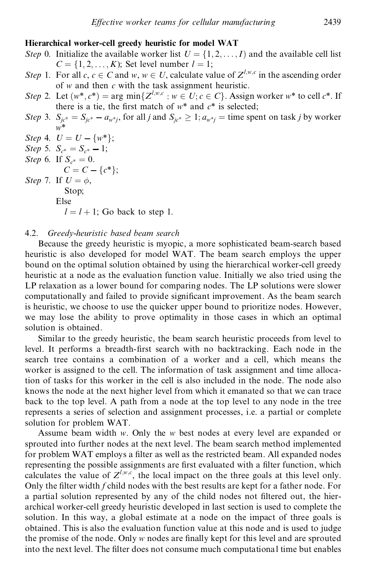# **Hierarchical worker-cell greedy heuristic for model WAT**

- *Step* 0. Initialize the available worker list  $U = \{1, 2, ..., I\}$  and the available cell list  $C = \{1, 2, \ldots, K\}$ ; Set level number  $l = 1$ ;
- *Step* 1. For all *c*,  $c \in C$  and  $w, w \in U$ , calculate value of  $Z^{l,w,c}$  in the ascending order of *w* and then *c* with the task assignment heuristic.
- *Step* 2. Let  $(w^*, c^*)$  = arg min $\{Z^{l,w,c}: w \in U; c \in C\}$ . Assign worker  $w^*$  to cell  $c^*$ . If there is a tie, the first match of  $w^*$  and  $c^*$  is selected;
- *Step* 3.  $S_{jc^*} = S_{jc^*} a_{w^*j}$ , for all *j* and  $S_{jc^*} \ge 1$ ;  $a_{w^*j} =$  time spent on task *j* by worker *w*\*

*Step* 4.  $U = U - \{w^*\};$ 

*Step* 5.  $S_{c^*} = S_{c^*} - 1$ ;<br>*Step* 6. If  $S_{c^*} = 0$ .

 $C = C - \{c^*\};$ 

*Step* 7. If  $U = \phi$ , Stop;

```
Else
```
 $l = l + 1$ ; Go back to step 1.

#### 4.2. *Greedy-heuristic based beam search*

Because the greedy heuristic is myopic, a more sophisticated beam-search based heuristic is also developed for model WAT. The beam search employs the upper bound on the optimal solution obtained by using the hierarchical worker-cell greedy heuristic at a node as the evaluation function value. Initially we also tried using the LP relaxation as a lower bound for comparing nodes. The LP solutions were slower computationally and failed to provide significant improvement. As the beam search is heuristic, we choose to use the quicker upper bound to prioritize nodes. However, we may lose the ability to prove optimality in those cases in which an optimal solution is obtained.

Similar to the greedy heuristic, the beam search heuristic proceeds from level to level. It performs a breadth-first search with no backtracking. Each node in the search tree contains a combination of a worker and a cell, which means the worker is assigned to the cell. The information of task assignment and time allocation of tasks for this worker in the cell is also included in the node. The node also knows the node at the next higher level from which it emanated so that we can trace back to the top level. A path from a node at the top level to any node in the tree represents a series of selection and assignment processes, i.e. a partial or complete solution for problem WAT.

Assume beam width *w*. Only the *w* best nodes at every level are expanded or sprouted into further nodes at the next level. The beam search method implemented for problem WAT employs a filter as well as the restricted beam. All expanded nodes representing the possible assignments are first evaluated with a filter function, which calculates the value of  $Z^{l,w,c}$ , the local impact on the three goals at this level only. Only the filter width *f* child nodes with the best results are kept for a father node. For a partial solution represented by any of the child nodes not filtered out, the hierarchical worker-cell greedy heuristic developed in last section is used to complete the solution. In this way, a global estimate at a node on the impact of three goals is obtained. This is also the evaluation function value at this node and is used to judge the promise of the node. Only *w* nodes are finally kept for this level and are sprouted into the next level. The filter does not consume much computational time but enables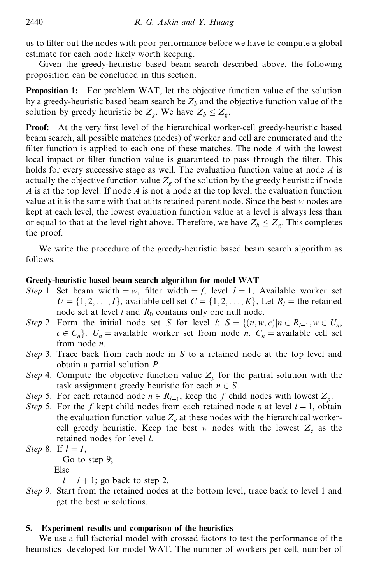us to filter out the nodes with poor performance before we have to compute a global estimate for each node likely worth keeping.

Given the greedy-heuristic based beam search described above, the following proposition can be concluded in this section.

**Proposition 1:** For problem WAT, let the objective function value of the solution by a greedy-heuristic based beam search be  $Z_b$  and the objective function value of the solution by greedy heuristic be  $Z_g$ . We have  $Z_b \leq Z_g$ .

**Proof:** At the very first level of the hierarchical worker-cell greedy-heuristic based beam search, all possible matches (nodes) of worker and cell are enumerated and the filter function is applied to each one of these matches. The node  $A$  with the lowest local impact or filter function value is guaranteed to pass through the filter. This holds for every successive stage as well. The evaluation function value at node *A* is actually the objective function value  $Z<sub>g</sub>$  of the solution by the greedy heuristic if node *A* is at the top level. If node *A* is not a node at the top level, the evaluation function value at it is the same with that at its retained parent node. Since the best *w* nodes are kept at each level, the lowest evaluation function value at a level is always less than or equal to that at the level right above. Therefore, we have  $Z_b \leq Z_g$ . This completes the proof.

We write the procedure of the greedy-heuristic based beam search algorithm as follows.

# **Greedy-heuristic based beam search algorithm for model WAT**

- *Step* 1. Set beam width  $=w$ , filter width  $=f$ , level  $l = 1$ , Available worker set  $U = \{1, 2, \ldots, I\}$ , available cell set  $C = \{1, 2, \ldots, K\}$ , Let  $R_l$  = the retained node set at level *l* and  $R_0$  contains only one null node.
- *Step* 2. Form the initial node set *S* for level *l*;  $S = \{(n, w, c) | n \in R_{l-1}, w \in U_n, w \in R_{l-1}\}$  $c \in C_n$ .  $U_n$  = available worker set from node *n*.  $C_n$  = available cell set from node *n*.
- *Step* 3. Trace back from each node in *S* to a retained node at the top level and obtain a partial solution *P*.
- *Step* 4. Compute the objective function value  $Z_p$  for the partial solution with the
- task assignment greedy heuristic for each  $n \in S$ .<br>*Step* 5. For each retained node  $n \in R_{l-1}$ , keep the *f* child nodes with lowest  $Z_p$ .
- *Step* 5. For the *f* kept child nodes from each retained node *n* at level  $l 1$ , obtain the evaluation function value  $Z_e$  at these nodes with the hierarchical workercell greedy heuristic. Keep the best *w* nodes with the lowest  $Z_e$  as the retained nodes for level *l*.
- *Step* 8. If  $l = I$ ,<br>Go to step 9;

Else

 $l = l + 1$ ; go back to step 2.

*Step* 9. Start from the retained nodes at the bottom level, trace back to level 1 and get the best *w* solutions.

# **5. Experiment results and comparison of the heuristics**

We use a full factorial model with crossed factors to test the performance of the heuristics developed for model WAT. The number of workers per cell, number of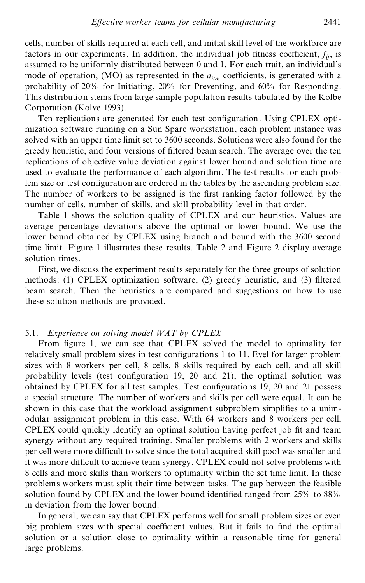cells, number of skills required at each cell, and initial skill level of the workforce are factors in our experiments. In addition, the individual job fitness coefficient,  $f_{ii}$ , is assumed to be uniformly distributed between 0 and 1. For each trait, an individual's mode of operation, (MO) as represented in the  $a_{\text{lim}}$  coefficients, is generated with a probability of 20% for Initiating, 20% for Preventing, and 60% for Responding. This distribution stems from large sample population results tabulated by the Kolbe Corporation (Kolve 1993).

Ten replications are generated for each test configuration. Using CPLEX optimization software running on a Sun Sparc workstation, each problem instance was solved with an upper time limit set to 3600 seconds. Solutions were also found for the greedy heuristic, and four versions of filtered beam search. The average over the ten replications of objective value deviation against lower bound and solution time are used to evaluate the performance of each algorithm. The test results for each problem size or test configuration are ordered in the tables by the ascending problem size. The number of workers to be assigned is the first ranking factor followed by the number of cells, number of skills, and skill probability level in that order.

Table 1 shows the solution quality of CPLEX and our heuristics. Values are average percentage deviations above the optimal or lower bound. We use the lower bound obtained by CPLEX using branch and bound with the 3600 second time limit. Figure 1 illustrates these results. Table 2 and Figure 2 display average solution times.

First, we discuss the experiment results separately for the three groups of solution methods: (1) CPLEX optimization software, (2) greedy heuristic, and (3) filtered beam search. Then the heuristics are compared and suggestions on how to use these solution methods are provided.

### 5.1. *Experience on solving model WAT by CPLEX*

From figure 1, we can see that CPLEX solved the model to optimality for relatively small problem sizes in test configurations 1 to 11. Evel for larger problem sizes with 8 workers per cell, 8 cells, 8 skills required by each cell, and all skill probability levels (test configuration 19, 20 and 21), the optimal solution was obtained by CPLEX for all test samples. Test configurations 19, 20 and 21 possess a special structure. The number of workers and skills per cell were equal. It can be shown in this case that the workload assignment subproblem simplifies to a unimodular assignment problem in this case. With 64 workers and 8 workers per cell, CPLEX could quickly identify an optimal solution having perfect job fit and team synergy without any required training. Smaller problems with 2 workers and skills per cell were more difficult to solve since the total acquired skill pool was smaller and it was more difficult to achieve team synergy. CPLEX could not solve problems with 8 cells and more skills than workers to optimality within the set time limit. In these problems workers must split their time between tasks. The gap between the feasible solution found by CPLEX and the lower bound identified ranged from  $25\%$  to  $88\%$ in deviation from the lower bound.

In general, we can say that CPLEX performs well for small problem sizes or even big problem sizes with special coefficient values. But it fails to find the optimal solution or a solution close to optimality within a reasonable time for general large problems.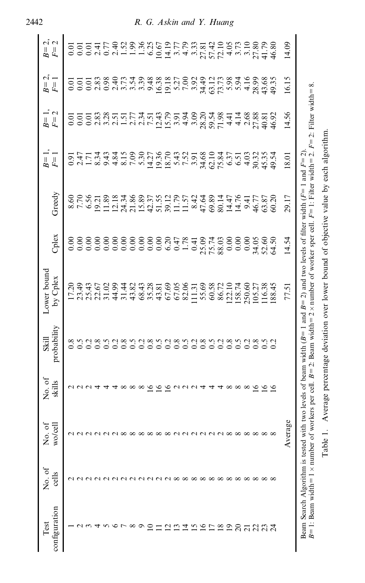| No. of<br>wo/cell<br>No. of<br>cells                                                                                                                                                          | No. of<br>skills | probability<br>Skill         | Lower bound<br>by Cplex                                                                           | Cplex                   | Greedy                  | $F =$<br>$B =$                                                                                                                                                                                                                                                                                                | $B=1,$<br>$F=2$                                                                                                                                                                                                                                                                                     | L,<br>$F=1$<br>$B =$                                        | $\mathcal{L}_{i}$<br>$\mathbf{\Omega}$<br>$\overline{F}$<br>$B =$ |
|-----------------------------------------------------------------------------------------------------------------------------------------------------------------------------------------------|------------------|------------------------------|---------------------------------------------------------------------------------------------------|-------------------------|-------------------------|---------------------------------------------------------------------------------------------------------------------------------------------------------------------------------------------------------------------------------------------------------------------------------------------------------------|-----------------------------------------------------------------------------------------------------------------------------------------------------------------------------------------------------------------------------------------------------------------------------------------------------|-------------------------------------------------------------|-------------------------------------------------------------------|
| <b>ANNA</b>                                                                                                                                                                                   | UUU4             |                              | 17.20<br>23.49                                                                                    | 0.00                    | 8.60<br>7.70            | $0.47$<br>$0.47$<br>$0.54$<br>$0.34$                                                                                                                                                                                                                                                                          | 0.01                                                                                                                                                                                                                                                                                                | $\frac{0}{0}$ .                                             | 0.01                                                              |
|                                                                                                                                                                                               |                  | 0.2<br>$0.\overline{8}$      | 22.67                                                                                             |                         | 6.56                    |                                                                                                                                                                                                                                                                                                               | 0.01                                                                                                                                                                                                                                                                                                | $\frac{0.01}{2.83}$                                         | 2.41<br>$\overline{0}$ .                                          |
|                                                                                                                                                                                               | ব                | $\sim$                       | 31.02                                                                                             |                         |                         |                                                                                                                                                                                                                                                                                                               | $\begin{array}{c} 83.87 \\ 0.000 \\ 0.000 \\ 0.000 \\ 0.000 \\ 0.000 \\ 0.000 \\ 0.000 \\ 0.000 \\ 0.000 \\ 0.000 \\ 0.000 \\ 0.000 \\ 0.000 \\ 0.000 \\ 0.000 \\ 0.000 \\ 0.000 \\ 0.000 \\ 0.000 \\ 0.000 \\ 0.000 \\ 0.000 \\ 0.000 \\ 0.000 \\ 0.000 \\ 0.000 \\ 0.000 \\ 0.000 \\ 0.000 \\ 0.$ | 0.98                                                        | 0.77                                                              |
|                                                                                                                                                                                               |                  | 0.2                          | 44.99                                                                                             |                         |                         |                                                                                                                                                                                                                                                                                                               |                                                                                                                                                                                                                                                                                                     |                                                             | 2.40                                                              |
| aaxxxxxxxaaxxxxxxx<br>NNNNNNN∞∞∞∞∞∞∞∞∞∞∞∞                                                                                                                                                     | $\infty$         | 0.8                          | 31.44                                                                                             |                         |                         | $348100$<br>$781000$<br>$78100$                                                                                                                                                                                                                                                                               |                                                                                                                                                                                                                                                                                                     | $\begin{array}{c} 260000 \\ 4700000 \\ 4700000 \end{array}$ | 1.52                                                              |
|                                                                                                                                                                                               | $\infty$         | $\widetilde{\phantom{0}}$ .5 | 43.82                                                                                             |                         |                         |                                                                                                                                                                                                                                                                                                               |                                                                                                                                                                                                                                                                                                     |                                                             | 1.99                                                              |
|                                                                                                                                                                                               | $\infty$         | 0.2                          | 68.43                                                                                             |                         |                         |                                                                                                                                                                                                                                                                                                               |                                                                                                                                                                                                                                                                                                     |                                                             | $1.36$<br>6.25                                                    |
|                                                                                                                                                                                               | $\tilde{=}$      | $\overline{0.8}$             |                                                                                                   |                         |                         | 14.27                                                                                                                                                                                                                                                                                                         |                                                                                                                                                                                                                                                                                                     |                                                             |                                                                   |
|                                                                                                                                                                                               | $\frac{8}{16}$   | 6.5                          | 35.28                                                                                             |                         |                         | $\begin{array}{l} 23.8 \\ 24.7 \\ 25.7 \\ 26.7 \\ 27.7 \\ 28.7 \\ 29.7 \\ 20.7 \\ 21.7 \\ 22.7 \\ 23.7 \\ 24.7 \\ 25.7 \\ 26.7 \\ 27.7 \\ 28.7 \\ 29.7 \\ 20.7 \\ 21.7 \\ 22.7 \\ 23.7 \\ 24.7 \\ 25.7 \\ 26.7 \\ 27.7 \\ 28.7 \\ 29.7 \\ 29.7 \\ 20.7 \\ 20.7 \\ 20.7 \\ 20.7 \\ 20.7 \\ 20.7 \\ 20.7 \\ 20$ | $12.79$<br>$15.79$<br>$3.94$<br>$4.3$                                                                                                                                                                                                                                                               | 16.38                                                       | 10.67                                                             |
|                                                                                                                                                                                               | $\tilde{9}$      | 0.2                          | 67.69                                                                                             |                         |                         |                                                                                                                                                                                                                                                                                                               |                                                                                                                                                                                                                                                                                                     |                                                             |                                                                   |
|                                                                                                                                                                                               |                  |                              | 67.05                                                                                             |                         |                         |                                                                                                                                                                                                                                                                                                               |                                                                                                                                                                                                                                                                                                     |                                                             |                                                                   |
|                                                                                                                                                                                               | $\cup$           | 0.000000                     | 82.06                                                                                             |                         |                         |                                                                                                                                                                                                                                                                                                               |                                                                                                                                                                                                                                                                                                     | 5.27<br>7.303.4.308<br>7.303.4.3084                         |                                                                   |
|                                                                                                                                                                                               |                  |                              | 11.31                                                                                             |                         |                         |                                                                                                                                                                                                                                                                                                               | 3.09                                                                                                                                                                                                                                                                                                |                                                             |                                                                   |
|                                                                                                                                                                                               |                  |                              | 55.69                                                                                             |                         |                         |                                                                                                                                                                                                                                                                                                               |                                                                                                                                                                                                                                                                                                     |                                                             |                                                                   |
|                                                                                                                                                                                               | 4                |                              | 60.58                                                                                             | 0.41<br>25.03<br>28.03  |                         |                                                                                                                                                                                                                                                                                                               | 28.34<br>59.54<br>71.98                                                                                                                                                                                                                                                                             |                                                             |                                                                   |
|                                                                                                                                                                                               |                  |                              | 86.72                                                                                             |                         |                         |                                                                                                                                                                                                                                                                                                               |                                                                                                                                                                                                                                                                                                     |                                                             |                                                                   |
|                                                                                                                                                                                               | $4 \times 8$     | 0.8                          |                                                                                                   | 0.00                    |                         |                                                                                                                                                                                                                                                                                                               | 4.41                                                                                                                                                                                                                                                                                                |                                                             |                                                                   |
|                                                                                                                                                                                               |                  | 0.5                          | 122.10                                                                                            | 0.00                    |                         |                                                                                                                                                                                                                                                                                                               | 4.14                                                                                                                                                                                                                                                                                                |                                                             |                                                                   |
|                                                                                                                                                                                               | $\infty$         | 0.2                          | 250.60                                                                                            | 0.00                    | 9.41                    | 4.03                                                                                                                                                                                                                                                                                                          |                                                                                                                                                                                                                                                                                                     | 4.16                                                        |                                                                   |
| $\infty \infty \infty$                                                                                                                                                                        | $\frac{8}{16}$   |                              |                                                                                                   |                         | 46.77<br>63.87<br>60.20 |                                                                                                                                                                                                                                                                                                               |                                                                                                                                                                                                                                                                                                     | 28.99                                                       |                                                                   |
|                                                                                                                                                                                               |                  | 8.50                         | 105.27<br>116.38                                                                                  |                         |                         |                                                                                                                                                                                                                                                                                                               |                                                                                                                                                                                                                                                                                                     |                                                             |                                                                   |
|                                                                                                                                                                                               | $\bar{5}$        |                              | 88.45                                                                                             | 34.05<br>52.60<br>64.50 |                         | 30.32<br>45.35<br>49.54                                                                                                                                                                                                                                                                                       | 2.68<br>27.81<br>46.92                                                                                                                                                                                                                                                                              | 43.68<br>49.35                                              |                                                                   |
| 9g<br>Avera                                                                                                                                                                                   |                  |                              | 77.51                                                                                             | 14.54                   | 29.17                   | 18.01                                                                                                                                                                                                                                                                                                         | 14.56                                                                                                                                                                                                                                                                                               | 16.15                                                       | 14.09                                                             |
| $B=1$ : Beam width=1 × number of workers per cell. $B=2$ : Beam width=2 × number of worker sper cell. $F=1$ : Filter width=2. $F=2$ : Filter width=8.<br>Beam Search Algorithm is tested with |                  |                              | h two levels of beam width ( $B=1$ and $B=2$ ) and two levels of filter width ( $F=1$ and $F=2$ ) |                         |                         |                                                                                                                                                                                                                                                                                                               |                                                                                                                                                                                                                                                                                                     |                                                             |                                                                   |
| Table 1.                                                                                                                                                                                      |                  |                              | Average percentage deviation over lower bound of objective value by each algorithm                |                         |                         |                                                                                                                                                                                                                                                                                                               |                                                                                                                                                                                                                                                                                                     |                                                             |                                                                   |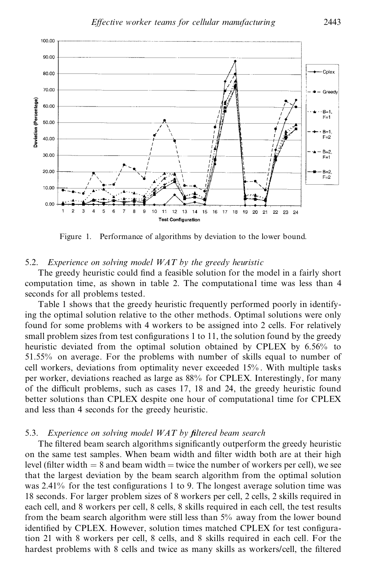

Figure 1. Performance of algorithms by deviation to the lower bound.

### 5.2. *Experience on solving model WAT by the greedy heuristic*

The greedy heuristic could find a feasible solution for the model in a fairly short computation time, as shown in table 2. The computational time was less than 4 seconds for all problems tested.

Table 1 shows that the greedy heuristic frequently performed poorly in identifying the optimal solution relative to the other methods. Optimal solutions were only found for some problems with 4 workers to be assigned into 2 cells. For relatively small problem sizes from test configurations 1 to 11, the solution found by the greedy heuristic deviated from the optimal solution obtained by CPLEX by 6.56% to 51.55% on average. For the problems with number of skills equal to number of cell workers, deviations from optimality never exceeded 15% . With multiple tasks per worker, deviations reached as large as 88% for CPLEX. Interestingly, for many of the difficult problems, such as cases  $17$ ,  $18$  and  $24$ , the greedy heuristic found better solutions than CPLEX despite one hour of computational time for CPLEX and less than 4 seconds for the greedy heuristic.

### 5.3. *Experience on solving model WAT by ®ltered beam search*

The filtered beam search algorithms significantly outperform the greedy heuristic on the same test samples. When beam width and filter width both are at their high level (filter width  $= 8$  and beam width  $=$  twice the number of workers per cell), we see that the largest deviation by the beam search algorithm from the optimal solution was 2.41% for the test configurations 1 to 9. The longest average solution time was 18 seconds. For larger problem sizes of 8 workers per cell, 2 cells, 2 skills required in each cell, and 8 workers per cell, 8 cells, 8 skills required in each cell, the test results from the beam search algorithm were still less than 5% away from the lower bound identified by CPLEX. However, solution times matched CPLEX for test configuration 21 with 8 workers per cell, 8 cells, and 8 skills required in each cell. For the hardest problems with 8 cells and twice as many skills as workers/cell, the filtered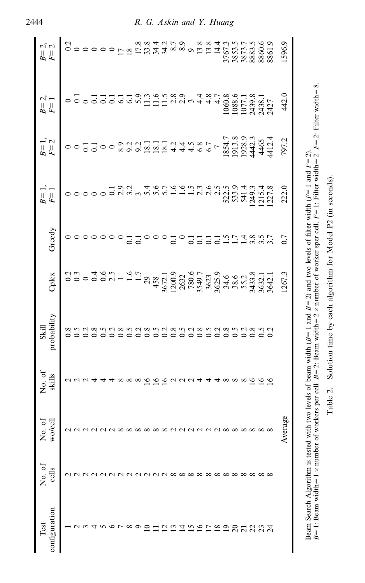| $B = 2,$ $F = 2$      |                         |  |  |  |  |               |  |                                                       |  |                                                    |  |                   |  |              |  | 1596.9  |  |
|-----------------------|-------------------------|--|--|--|--|---------------|--|-------------------------------------------------------|--|----------------------------------------------------|--|-------------------|--|--------------|--|---------|--|
| $B=2,$<br>$F=1$       |                         |  |  |  |  |               |  |                                                       |  |                                                    |  |                   |  |              |  | 442.0   |  |
| $B=1,$<br>$F=2$       |                         |  |  |  |  |               |  |                                                       |  |                                                    |  |                   |  |              |  | 797.2   |  |
| $B=1$<br>$F=1$        |                         |  |  |  |  |               |  |                                                       |  |                                                    |  |                   |  |              |  | 222.0   |  |
| Greedy                | oooooooodiooododistamuu |  |  |  |  |               |  |                                                       |  |                                                    |  |                   |  |              |  | 0.7     |  |
| Cplex                 |                         |  |  |  |  |               |  |                                                       |  |                                                    |  |                   |  |              |  | 1267.3  |  |
| Skill<br>probability  | 000000                  |  |  |  |  | $\frac{8}{2}$ |  |                                                       |  |                                                    |  | $\frac{288}{200}$ |  | 3853<br>2000 |  |         |  |
| No. of<br>skills      | $U U U A 4 4 \infty$    |  |  |  |  |               |  | $\begin{array}{c}\n 26 \\  -26 \\  -27\n \end{array}$ |  | $^{\prime\prime}$ 4 4 4 $\infty$ $\infty$ $\infty$ |  |                   |  |              |  |         |  |
| No. of<br>wo/cell     |                         |  |  |  |  |               |  |                                                       |  |                                                    |  |                   |  |              |  | Average |  |
| No. of<br>cells       |                         |  |  |  |  |               |  | **********************                                |  |                                                    |  |                   |  |              |  |         |  |
| configuration<br>Test |                         |  |  |  |  |               |  | SHARTHAPRARRA                                         |  |                                                    |  |                   |  |              |  |         |  |

Beam Search Algorithm is tested with two levels of beam width  $(B=1$  and  $B=2)$  and two levels of filter width  $(F=1$  and  $F=2)$ .<br> $B=1$ : Beam width=1 x number of workers per cell.  $B=2$ : Beam width=2 x number of worker sper Beam Search Algorithm is tested with two levels of beam width (B= 1 and B= 2) and two levels of filter width (F= 1 and F= 2).<br>B= 1: Beam width= 1 × number of workers per cell. B= 2: Beam width= 2 × number of worker sper c Table 2. Solution time by each algorithm for Model P2 (in seconds).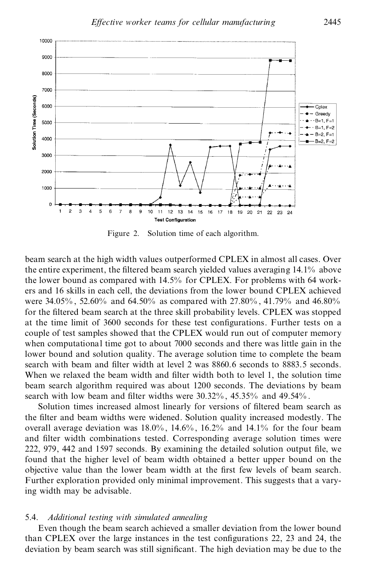

Figure 2. Solution time of each algorithm.

beam search at the high width values outperformed CPLEX in almost all cases. Over the entire experiment, the filtered beam search yielded values averaging 14.1% above the lower bound as compared with 14.5% for CPLEX. For problems with 64 work ers and 16 skills in each cell, the deviations from the lower bound CPLEX achieved were 34.05% , 52.60% and 64.50% ascompared with 27.80% , 41.79% and 46.80% for the filtered beam search at the three skill probability levels. CPLEX was stopped at the time limit of 3600 seconds for these test configurations. Further tests on a couple of test samples showed that the CPLEX would run out of computer memory when computational time got to about 7000 seconds and there was little gain in the lower bound and solution quality. The average solution time to complete the beam search with beam and filter width at level 2 was 8860.6 seconds to 8883.5 seconds. When we relaxed the beam width and filter width both to level 1, the solution time beam search algorithm required was about 1200 seconds. The deviations by beam search with low beam and filter widths were  $30.32\%$ ,  $45.35\%$  and  $49.54\%$ .

Solution times increased almost linearly for versions of filtered beam search as the filter and beam widths were widened. Solution quality increased modestly. The overall average deviation was 18.0% , 14.6% , 16.2% and 14.1% for the four beam and filter width combinations tested. Corresponding average solution times were  $222$ , 979, 442 and 1597 seconds. By examining the detailed solution output file, we found that the higher level of beam width obtained a better upper bound on the objective value than the lower beam width at the first few levels of beam search. Further exploration provided only minimal improvement. This suggests that a varying width may be advisable.

### 5.4. *Additional testing with simulated annealing*

Even though the beam search achieved a smaller deviation from the lower bound than CPLEX over the large instances in the test configurations  $22$ ,  $23$  and  $24$ , the deviation by beam search was still significant. The high deviation may be due to the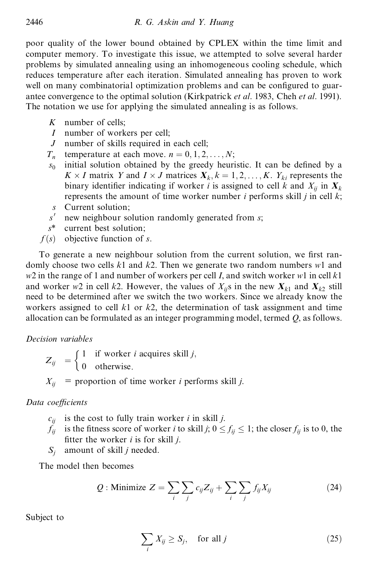poor quality of the lower bound obtained by CPLEX within the time limit and computer memory. To investigate this issue, we attempted to solve several harder problems by simulated annealing using an inhomogeneous cooling schedule, which reduces temperature after each iteration. Simulated annealing has proven to work well on many combinatorial optimization problems and can be configured to guarantee convergence to the optimal solution (Kirkpatrick *et al*. 1983, Cheh *et al*. 1991). The notation we use for applying the simulated annealing is as follows.

- *K* number of cells;
- *I* number of workers per cell;
- *J* number of skills required in each cell;
- $T_n$  temperature at each move.  $n = 0, 1, 2, \dots, N;$
- $s_0$  initial solution obtained by the greedy heuristic. It can be defined by a  $K \times I$  matrix *Y* and  $I \times J$  matrices  $X_k, k = 1, 2, ..., K$ .  $Y_{ki}$  represents the binary identifier indicating if worker *i* is assigned to cell *k* and  $X_{ii}$  in  $X_k$ represents the amount of time worker number *i* performs skill *j* in cell *k*;
- *s* Current solution;
- *s* 0 new neighbour solution randomly generated from *s*;
- *s*\* current best solution;
- $f(s)$  objective function of *s*.

To generate a new neighbour solution from the current solution, we first randomly choose two cells *k*1 and *k*2. Then we generate two random numbers *w*1 and *w*2 in the range of 1 and number of workers per cell *I*, and switch worker *w*1 in cell *k*1 and worker *w*2 in cell *k*2. However, the values of  $X_{ii}$ s in the new  $X_{k1}$  and  $X_{k2}$  still need to be determined after we switch the two workers. Since we already know the workers assigned to cell *k*1 or *k*2, the determination of task assignment and time allocation can be formulated as an integer programming model, termed *Q*, as follows.

# *Decision variables*

 $Z_{ij} = \begin{cases} 1 & \text{if worker } i \text{ acquires skill } j, \\ 0 & \text{otherwise} \end{cases}$ 0 otherwise:  $\int 1$  if  $X_{ii}$  = proportion of time worker *i* performs skill *j*.

# *Data coeYcients*

- $c_{ii}$  is the cost to fully train worker *i* in skill *j*.
- $f_{ij}$  is the fitness score of worker *i* to skill *j*;  $0 \le f_{ij} \le 1$ ; the closer  $f_{ij}$  is to 0, the fitter the worker  $i$  is for skill  $j$ .
- *S<sup>j</sup>* amount of skill *j* needed.

The model then becomes

$$
Q: \text{Minimize } Z = \sum_{i} \sum_{j} c_{ij} Z_{ij} + \sum_{i} \sum_{j} f_{ij} X_{ij}
$$
 (24)

Subject to

$$
\sum_{i} X_{ij} \ge S_j, \quad \text{for all } j \tag{25}
$$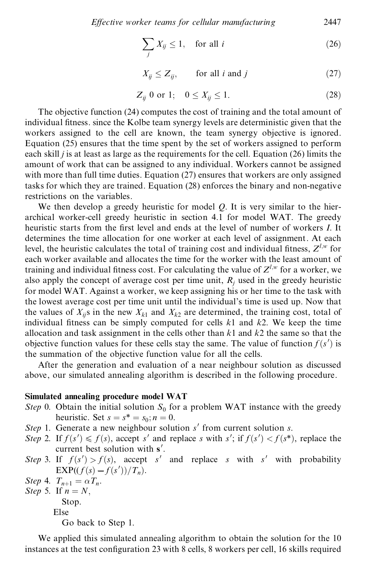$$
\sum_{j} X_{ij} \le 1, \quad \text{for all } i \tag{26}
$$

$$
X_{ij} \le Z_{ij}, \qquad \text{for all } i \text{ and } j \tag{27}
$$

$$
Z_{ij} \t 0 \t or \t 1; \t 0 \le X_{ij} \le 1. \t (28)
$$

The objective function (24) computes the cost of training and the total amount of individual fitness. since the Kolbe team synergy levels are deterministic given that the workers assigned to the cell are known, the team synergy objective is ignored. Equation (25) ensures that the time spent by the set of workers assigned to perform each skill *j* is at least as large as the requirements for the cell. Equation (26) limits the amount of work that can be assigned to any individual. Workers cannot be assigned with more than full time duties. Equation (27) ensures that workers are only assigned tasks for which they are trained. Equation (28) enforces the binary and non-negative restrictions on the variables.

We then develop a greedy heuristic for model *Q*. It is very similar to the hier archical worker-cell greedy heuristic in section 4.1 for model WAT. The greedy heuristic starts from the first level and ends at the level of number of workers *I*. It determines the time allocation for one worker at each level of assignment. At each level, the heuristic calculates the total of training cost and individual fitness,  $Z^{l,w}$  for each worker available and allocates the time for the worker with the least amount of training and individual fitness cost. For calculating the value of  $Z^{l,w}$  for a worker, we also apply the concept of average cost per time unit,  $R_i$  used in the greedy heuristic for model WAT. Against a worker, we keep assigning his or her time to the task with the lowest average cost per time unit until the individual's time is used up. Now that the values of  $X_{ii}$ s in the new  $X_{k1}$  and  $X_{k2}$  are determined, the training cost, total of individual fitness can be simply computed for cells  $k1$  and  $k2$ . We keep the time allocation and task assignment in the cells other than *k*1 and *k*2 the same so that the objective function values for these cells stay the same. The value of function  $f(s')$  is the summation of the objective function value for all the cells.

After the generation and evaluation of a near neighbour solution as discussed above, our simulated annealing algorithm is described in the following procedure.

#### **Simulated annealing procedure model WAT**

- *Step* 0. Obtain the initial solution  $S_0$  for a problem WAT instance with the greedy heuristic. Set  $s = s^* = s_0; n = 0$ .
- *Step* 1. Generate a new neighbour solution *s'* from current solution *s*.
- *Step* 2. If  $f(s') \leq f(s)$ , accept *s'* and replace *s* with *s'*; if  $f(s') < f(s^*)$ , replace the current best solution with **s** 0.
- *Step* 3. If  $f(s') > f(s)$ , accept *s'* and replace *s* with *s'* with probability EXP(( $f(s) - f(s')$ )/ $T_n$ ).<br>Step 4.  $T_{n+1} = \alpha T_n$ .
- Step 4.  $T_{n+1} = \alpha T_n$ .
- *Step* 5. If  $n = N$ , Stop. Else Go back to Step 1.

We applied this simulated annealing algorithm to obtain the solution for the 10 instances at the test configuration 23 with 8 cells, 8 workers per cell, 16 skills required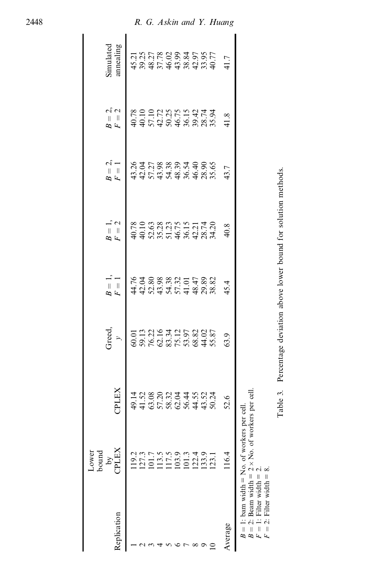|                                                                                                                                   | bound<br>Lower                                      |           |                                           |       |                                                                       |                                                         |                                                                                                          |                                    |
|-----------------------------------------------------------------------------------------------------------------------------------|-----------------------------------------------------|-----------|-------------------------------------------|-------|-----------------------------------------------------------------------|---------------------------------------------------------|----------------------------------------------------------------------------------------------------------|------------------------------------|
| Replication                                                                                                                       | <b>PLEX</b><br>$\tilde{c}$                          | CPLEX     | Greed,<br>$\rightarrow$                   | $B =$ | $\frac{1}{2}$ $\frac{1}{2}$<br>$\frac{1}{2}$                          | $\sim -$<br>$B =$                                       | $\omega$ $\sigma$<br>$B =$                                                                               | annealing<br>Simulated             |
|                                                                                                                                   |                                                     |           |                                           |       |                                                                       |                                                         |                                                                                                          |                                    |
|                                                                                                                                   | 19.3<br>127.3<br>101.7<br>103.9<br>101.3            |           |                                           |       |                                                                       |                                                         |                                                                                                          |                                    |
|                                                                                                                                   |                                                     |           |                                           |       |                                                                       |                                                         |                                                                                                          |                                    |
|                                                                                                                                   |                                                     |           |                                           |       |                                                                       |                                                         |                                                                                                          |                                    |
|                                                                                                                                   |                                                     |           |                                           |       |                                                                       |                                                         |                                                                                                          |                                    |
|                                                                                                                                   |                                                     |           |                                           |       |                                                                       |                                                         |                                                                                                          |                                    |
|                                                                                                                                   |                                                     |           |                                           |       |                                                                       |                                                         |                                                                                                          |                                    |
|                                                                                                                                   |                                                     |           |                                           |       |                                                                       |                                                         |                                                                                                          |                                    |
|                                                                                                                                   | $\begin{array}{c} 12.4 \\ 13.3 \\ 12.1 \end{array}$ |           |                                           |       |                                                                       |                                                         |                                                                                                          |                                    |
|                                                                                                                                   |                                                     |           | 00134535802<br>00134558802<br>00254558845 |       |                                                                       | $65.75889749806$<br>$43.75899749806$<br>$44.7789974960$ | $49.78$<br>$49.10$<br>$45.72$<br>$45.72$<br>$45.75$<br>$45.74$<br>$45.74$<br>$45.74$<br>$45.9$<br>$45.9$ | 1<br>12012629345851<br>13036263455 |
| Average                                                                                                                           | .16.4                                               | 52.6      | 63.9                                      | 45.4  | 40.8                                                                  | 43.7                                                    | 41.8                                                                                                     | 41.7                               |
| $B = 1$ : bam width = No. of workers<br>$\therefore$ Filter width = 2.<br>2: Filter width $= 8$ .<br>$\frac{1}{1}$<br>$\parallel$ | 2: Beam width $= 2 \times$ No. of workers per cell  | per cell. |                                           |       |                                                                       |                                                         |                                                                                                          |                                    |
|                                                                                                                                   |                                                     |           |                                           |       | Table 3. Percentage deviation above lower bound for solution methods. |                                                         |                                                                                                          |                                    |

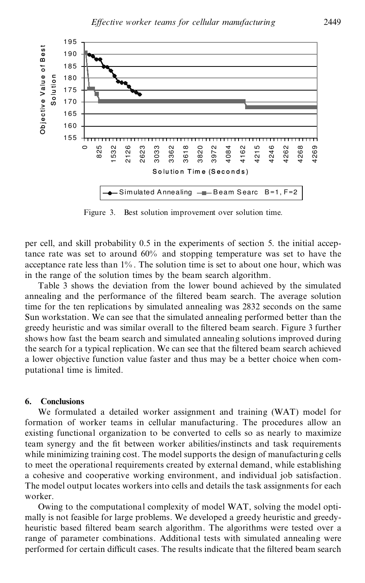

Figure 3. Best solution improvement over solution time.

per cell, and skill probability 0.5 in the experiments of section 5. the initial acceptance rate was set to around 60% and stopping temperature was set to have the acceptance rate less than  $1\%$ . The solution time is set to about one hour, which was in the range of the solution times by the beam search algorithm.

Table 3 shows the deviation from the lower bound achieved by the simulated annealing and the performance of the filtered beam search. The average solution time for the ten replications by simulated annealing was 2832 seconds on the same Sun workstation. We can see that the simulated annealing performed better than the greedy heuristic and was similar overall to the filtered beam search. Figure 3 further shows how fast the beam search and simulated annealing solutions improved during the search for a typical replication. We can see that the filtered beam search achieved a lower objective function value faster and thus may be a better choice when com putational time is limited.

### **6. Conclusions**

We formulated a detailed worker assignment and training (WAT) model for formation of worker teams in cellular manufacturing. The procedures allow an existing functional organization to be converted to cells so as nearly to maximize team synergy and the fit between worker abilities/instincts and task requirements while minimizing training cost. The model supports the design of manufacturing cells to meet the operational requirements created by external demand, while establishing a cohesive and cooperative working environment, and individual job satisfaction. The model output locates workers into cells and details the task assignments for each worker.

Owing to the computational complexity of model WAT, solving the model opti mally is not feasible for large problems. We developed a greedy heuristic and greedy heuristic based filtered beam search algorithm. The algorithms were tested over a range of parameter combinations. Additional tests with simulated annealing were performed for certain difficult cases. The results indicate that the filtered beam search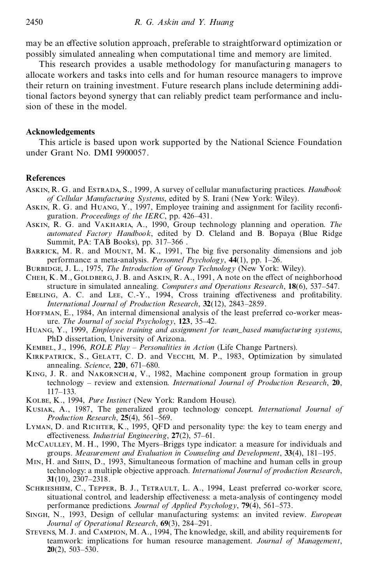may be an effective solution approach, preferable to straightforward optimization or possibly simulated annealing when computational time and memory are limited.

This research provides a usable methodology for manufacturing managers to allocate workers and tasks into cells and for human resource managers to improve their return on training investment. Future research plans include determining additional factors beyond synergy that can reliably predict team performance and inclu sion of these in the model.

## **Acknowledgements**

This article is based upon work supported by the National Science Foundation under Grant No. DMI 9900057.

## **References**

- Askin, R. G. and Estrada, S., 1999, A survey of cellular manufacturing practices. *Handbook of Cellular Manufacturing Systems*, edited by S. Irani (New York: Wiley).
- ASKIN, R. G. and HUANG, Y., 1997, Employee training and assignment for facility reconfiguration. *Proceedings of the IERC*, pp. 426-431.
- Askin, R. G. and Vakharia, A., 1990, Group technology planning and operation. *The automated Factory Handbook*, edited by D. Cleland and B. Bopaya (Blue Ridge Summit, PA: TAB Books), pp. 317–366.
- BARRICK, M. R. and MOUNT, M. K., 1991, The big five personality dimensions and job performance: a meta-analysis. *Personnel Psychology*,  $44(1)$ , pp. 1–26.
- Burbidge, J. L., 1975, *The Introduction of Group Technology* (New York: Wiley).
- CHEH, K. M., GOLDBERG, J. B. and ASKIN, R. A., 1991, A note on the effect of neighborhood structure in simulated annealing. *Computers and Operations Research*, **18**(6), 537–547.
- EBELING, A. C. and LEE, C.-Y., 1994, Cross training effectiveness and profitability. *International Journal of Production Research*, 32(12), 2843-2859.
- HOFFMAN, E., 1984, An internal dimensional analysis of the least preferred co-worker measure. *The Journal of social Psychology*, **123**, 35±42.
- Huang, Y., 1999, *Employee training and assignment for team\_based manufacturing systems*, PhD dissertation, University of Arizona.
- Kembel, J., 1996, *ROLE Play ± Personalities in Action* (Life Change Partners).
- KIRKPATRICK, S., GELATT, C. D. and VECCHI, M. P., 1983, Optimization by simulated annealing. *Science*, **220**, 671–680.
- KING, J. R. and NAKORNCHAI, V., 1982, Machine component group formation in group technology ± review and extension. *International Journal of Production Research*, **20**, 117±133.
- Kolbe, K., 1994, *Pure Instinct* (New York: Random House).
- Kusiak, A., 1987, The generalized group technology concept. *International Journal of Production Research*, 25(4), 561-569.
- LYMAN, D. and RICHTER, K., 1995, OFD and personality type: the key to team energy and effectiveness. *Industrial Engineering*, 27(2), 57-61.
- McCAULLEY, M. H., 1990, The Myers-Briggs type indicator: a measure for individuals and groups. *Measurement and Evaluation in Counseling and Development*, **33**(4), 181±195.
- Min, H. and Shin, D., 1993, Simultaneous formation of machine and human cells in group technology: a multiple objective approach. *International Journal of production Research*, **31**(10), 2307–2318.
- SCHRIESHEIM, C., TEPPER, B. J., TETRAULT, L. A., 1994, Least preferred co-worker score, situational control, and leadership effectiveness: a meta-analysis of contingency model performance predictions. *Journal of Applied Psychology*, **79**(4), 561-573.
- Singh, N., 1993, Design of cellular manufacturing systems: an invited review. *European Journal of Operational Research*, 69(3), 284-291.
- Stevens, M. J. and Campion, M. A., 1994, The knowledge, skill, and ability requirements for teamwork: implications for human resource management. *Journal of Management*,  $20(2)$ , 503–530.